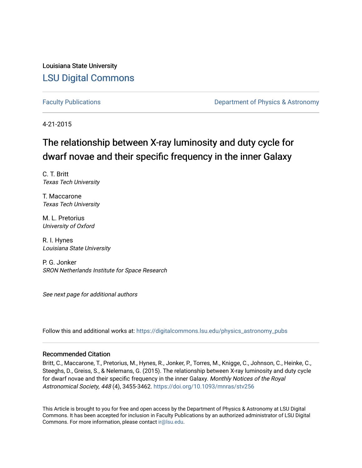Louisiana State University [LSU Digital Commons](https://digitalcommons.lsu.edu/)

[Faculty Publications](https://digitalcommons.lsu.edu/physics_astronomy_pubs) **Exercise 2 and Table 2 and Table 2 and Table 2 and Table 2 and Table 2 and Table 2 and Table 2 and Table 2 and Table 2 and Table 2 and Table 2 and Table 2 and Table 2 and Table 2 and Table 2 and Table** 

4-21-2015

# The relationship between X-ray luminosity and duty cycle for dwarf novae and their specific frequency in the inner Galaxy

C. T. Britt Texas Tech University

T. Maccarone Texas Tech University

M. L. Pretorius University of Oxford

R. I. Hynes Louisiana State University

P. G. Jonker SRON Netherlands Institute for Space Research

See next page for additional authors

Follow this and additional works at: [https://digitalcommons.lsu.edu/physics\\_astronomy\\_pubs](https://digitalcommons.lsu.edu/physics_astronomy_pubs?utm_source=digitalcommons.lsu.edu%2Fphysics_astronomy_pubs%2F2576&utm_medium=PDF&utm_campaign=PDFCoverPages) 

## Recommended Citation

Britt, C., Maccarone, T., Pretorius, M., Hynes, R., Jonker, P., Torres, M., Knigge, C., Johnson, C., Heinke, C., Steeghs, D., Greiss, S., & Nelemans, G. (2015). The relationship between X-ray luminosity and duty cycle for dwarf novae and their specific frequency in the inner Galaxy. Monthly Notices of the Royal Astronomical Society, 448 (4), 3455-3462. <https://doi.org/10.1093/mnras/stv256>

This Article is brought to you for free and open access by the Department of Physics & Astronomy at LSU Digital Commons. It has been accepted for inclusion in Faculty Publications by an authorized administrator of LSU Digital Commons. For more information, please contact [ir@lsu.edu](mailto:ir@lsu.edu).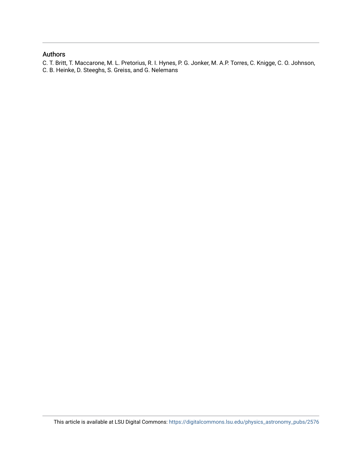## Authors

C. T. Britt, T. Maccarone, M. L. Pretorius, R. I. Hynes, P. G. Jonker, M. A.P. Torres, C. Knigge, C. O. Johnson,

C. B. Heinke, D. Steeghs, S. Greiss, and G. Nelemans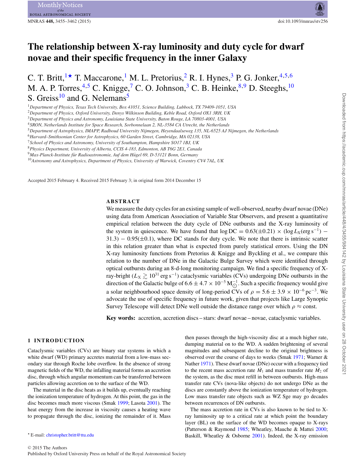## **The relationship between X-ray luminosity and duty cycle for dwarf novae and their specific frequency in the inner Galaxy**

C. T. Britt,  $1\star$  $1\star$  T. Maccarone, <sup>1</sup> M. L. Pretorius, <sup>[2](#page-2-2)</sup> R. I. Hynes, <sup>[3](#page-2-3)</sup> P. G. Jonker, <sup>4,[5,](#page-2-5)[6](#page-2-6)</sup> M. A. P. Torres,  $4.5$  $4.5$  C. Knigge,  $7$  C. O. Johnson,  $3$  C. B. Heinke,  $8.9$  $8.9$  D. Steeghs,  $10$ S. Greiss<sup>10</sup> and G. Nelemans<sup>5</sup>

<span id="page-2-0"></span><sup>1</sup>*Department of Physics, Texas Tech University, Box 41051, Science Building, Lubbock, TX 79409-1051, USA*

<span id="page-2-2"></span><sup>2</sup>*Department of Physics, Oxford University, Denys Wilkinson Building, Keble Road, Oxford OX1 3RH, UK*

<span id="page-2-3"></span><sup>3</sup>*Department of Physics and Astronomy, Louisiana State University, Baton Rouge, LA 70803-4001, USA*

<span id="page-2-4"></span><sup>4</sup>*SRON, Netherlands Institute for Space Research, Sorbonnelaan 2, NL-3584 CA Utrecht, the Netherlands*

<span id="page-2-5"></span><sup>5</sup>*Department of Astrophysics, IMAPP, Radboud University Nijmegen, Heyendaalseweg 135, NL-6525 AJ Nijmegen, the Netherlands*

<span id="page-2-6"></span><sup>6</sup>*Harvard–Smithsonian Center for Astrophysics, 60 Garden Street, Cambridge, MA 02138, USA*

<span id="page-2-7"></span><sup>7</sup>*School of Physics and Astronomy, University of Southampton, Hampshire SO17 1BJ, UK*

<span id="page-2-8"></span><sup>8</sup>*Physics Department, University of Alberta, CCIS 4-183, Edmonton, AB T6G 2E1, Canada*

<span id="page-2-9"></span><sup>9</sup>*Max-Planck-Institute fur Radioastronomie, Auf dem H ¨ ugel 69, D-53121 Bonn, Germany ¨*

<span id="page-2-10"></span><sup>10</sup>*Astronomy and Astrophysics, Department of Physics, University of Warwick, Coventry CV4 7AL, UK*

Accepted 2015 February 4. Received 2015 February 3; in original form 2014 December 15

### **ABSTRACT**

We measure the duty cycles for an existing sample of well-observed, nearby dwarf novae (DNe) using data from American Association of Variable Star Observers, and present a quantitative empirical relation between the duty cycle of DNe outbursts and the X-ray luminosity of the system in quiescence. We have found that  $log DC = 0.63(\pm 0.21) \times (log L_X(erg s^{-1}) 31.3$ ) − 0.95( $\pm$ 0.1), where DC stands for duty cycle. We note that there is intrinsic scatter in this relation greater than what is expected from purely statistical errors. Using the DN X-ray luminosity functions from Pretorius & Knigge and Byckling et al., we compare this relation to the number of DNe in the Galactic Bulge Survey which were identified through optical outbursts during an 8-d-long monitoring campaign. We find a specific frequency of Xray-bright ( $L_X \gtrsim 10^{31}$  erg s<sup>-1</sup>) cataclysmic variables (CVs) undergoing DNe outbursts in the direction of the Galactic bulge of 6.6  $\pm$  4.7  $\times$  10<sup>-5</sup> M<sup>-1</sup><sub>O</sub>. Such a specific frequency would give a solar neighbourhood space density of long-period CVs of  $\rho = 5.6 \pm 3.9 \times 10^{-6}$  pc<sup>-3</sup>. We advocate the use of specific frequency in future work, given that projects like Large Synoptic Survey Telescope will detect DNe well outside the distance range over which  $\rho \approx$  const.

**Key words:** accretion, accretion discs – stars: dwarf novae – novae, cataclysmic variables.

## **1 INTRODUCTION**

Cataclysmic variables (CVs) are binary star systems in which a white dwarf (WD) primary accretes material from a low-mass secondary star through Roche lobe overflow. In the absence of strong magnetic fields of the WD, the infalling material forms an accretion disc, through which angular momentum can be transferred between particles allowing accretion on to the surface of the WD.

The material in the disc heats as it builds up, eventually reaching the ionization temperature of hydrogen. At this point, the gas in the disc becomes much more viscous (Smak [1999;](#page-9-0) Lasota [2001\)](#page-9-1). The heat energy from the increase in viscosity causes a heating wave to propagate through the disc, ionizing the remainder of it. Mass

then passes through the high-viscosity disc at a much higher rate, dumping material on to the WD. A sudden brightening of several magnitudes and subsequent decline to the original brightness is observed over the course of days to weeks (Smak [1971;](#page-9-2) Warner & Nather [1971\)](#page-9-3). These dwarf novae (DNe) occur with a frequency tied to the recent mass accretion rate  $M_1$  and mass transfer rate  $M_2$  of the system, as the disc must refill in between outbursts. High-mass transfer rate CVs (nova-like objects) do not undergo DNe as the discs are constantly above the ionization temperature of hydrogen. Low mass transfer rate objects such as WZ Sge may go decades between recurrences of DN outbursts.

The mass accretion rate in CVs is also known to be tied to Xray luminosity up to a critical rate at which point the boundary layer (BL) on the surface of the WD becomes opaque to X-rays (Patterson & Raymond [1985;](#page-9-4) Wheatley, Mauche & Mattei [2000;](#page-9-5) Baskill, Wheatley & Osborne [2001\)](#page-8-0). Indeed, the X-ray emission

<span id="page-2-1"></span>E-mail: [christopher.britt@ttu.edu](mailto:christopher.britt@ttu.edu)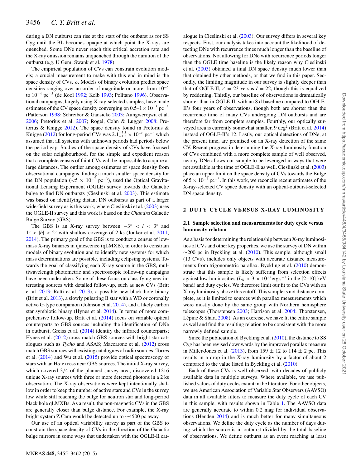during a DN outburst can rise at the start of the outburst as for SS Cyg until the BL becomes opaque at which point the X-rays are quenched. Some DNe never reach this critical accretion rate and the X-ray emission remains unquenched through the duration of the outburst (e.g. U Gem; Swank et al. [1978\)](#page-9-6).

The empirical population of CVs can constrain evolution models; a crucial measurement to make with this end in mind is the space density of CVs,  $\rho$ . Models of binary evolution predict space densities ranging over an order of magnitude or more, from  $10^{-5}$ to 10−<sup>4</sup> pc−<sup>3</sup> (de Kool [1992;](#page-8-1) Kolb [1993;](#page-9-7) Politano [1996\)](#page-9-8). Observational campaigns, largely using X-ray-selected samples, have made estimates of the CV space density converging on  $0.5-1 \times 10^{-5}$  pc<sup>-3</sup> (Patterson [1998;](#page-9-9) Schreiber & Gänsicke [2003;](#page-9-10) Aungwerojwit et al. [2006;](#page-8-2) Pretorius et al. [2007;](#page-9-11) Rogel, Cohn & Lugger [2008;](#page-9-12) Pretorius & Knigge [2012\)](#page-9-13). The space density found in Pretorius & Knigge [\(2012\)](#page-9-13) for long-period CVs was  $2.1_{-1.3}^{+3.5} \times 10^{-6}$  pc<sup>-3</sup> which assumed that all systems with unknown periods had periods below the period gap. Studies of the space density of CVs have focused on the solar neighbourhood, for the simple and expedient reason that a complete census of faint CVs will be impossible to acquire at large distances. The outlier among estimates of space density from observational campaigns, finding a much smaller space density for the DN population (<5  $\times$  10<sup>-7</sup> pc<sup>-3</sup>), used the Optical Gravitational Lensing Experiment (OGLE) survey towards the Galactic bulge to find DN outbursts (Cieslinski et al. [2003\)](#page-8-3). This estimate was based on identifying distant DN outbursts as part of a larger wide-field survey as is this work, where Cieslinski et al. [\(2003\)](#page-8-3) uses the OGLE-II survey and this work is based on the *Chandra* Galactic Bulge Survey (GBS).

The GBS is an X-ray survey between  $-3° < l < 3°$  and  $1°$  < |b| < 2° with shallow coverage of 2 ks (Jonker et al. [2011,](#page-9-14) [2014\)](#page-9-15). The primary goal of the GBS is to conduct a census of lowmass X-ray binaries in quiescence (qLMXB), in order to constrain models of binary evolution and to identify new systems for which mass determinations are possible, including eclipsing systems. Towards the goal of classifying each X-ray source in the GBS, multiwavelength photometric and spectroscopic follow-up campaigns have been undertaken. Some of these focus on classifying new interesting sources with detailed follow-up, such as new CVs (Britt et al. [2013;](#page-8-4) Ratti et al. [2013\)](#page-9-16), a possible new black hole binary (Britt et al. [2013\)](#page-8-4), a slowly pulsating B star with a WD or coronally active G-type companion (Johnson et al. [2014\)](#page-9-17), and a likely carbon star symbiotic binary (Hynes et al. [2014\)](#page-8-5). In terms of more comprehensive follow-up, Britt et al. [\(2014\)](#page-8-6) focus on variable optical counterparts to GBS sources including the identification of DNe in outburst; Greiss et al. [\(2014\)](#page-8-7) identify the infrared counterparts; Hynes et al. [\(2012\)](#page-8-8) cross match GBS sources with bright star catalogues such as *Tycho* and ASAS; Maccarone et al. [\(2012\)](#page-9-18) cross match GBS sources with existing catalogues of radio sources; Torres et al. [\(2014\)](#page-9-19) and Wu et al. [\(2015\)](#page-9-20) provide optical spectroscopy of stars with an Hα excess near GBS sources. The initial X-ray survey, which covered 3/4 of the planned survey area, discovered 1216 unique X-ray sources with three or more detected photons in a 2 ks observation. The X-ray observations were kept intentionally shallow in order to keep the number of active stars and CVs in the survey low while still reaching the bulge for neutron star and long-period black hole qLMXBs. As a result, the non-magnetic CVs in the GBS are generally closer than bulge distance. For example, the X-ray bright system Z Cam would be detected up to ∼4500 pc away.

Our use of an optical variability survey as part of the GBS to constrain the space density of CVs in the direction of the Galactic bulge mirrors in some ways that undertaken with the OGLE-II cat-

alogue in Cieslinski et al. [\(2003\)](#page-8-3). Our survey differs in several key respects. First, our analysis takes into account the likelihood of detecting DNe with recurrence times much longer than the baseline of observations. Not allowing for DNe with recurrence periods longer than the OGLE time baseline is the likely reason why Cieslinski et al. [\(2003\)](#page-8-3) obtained a final DN space density much lower than that obtained by other methods, or that we find in this paper. Secondly, the limiting magnitude in our survey is slightly deeper than that of OGLE-II,  $r' = 23$  versus  $I = 22$ , though this is equalized by reddening. Thirdly, our baseline of observations is dramatically shorter than in OGLE-II, with an 8 d baseline compared to OGLE-II's four years of observations, though both are shorter than the recurrence time of many CVs undergoing DN outbursts and are therefore far from complete samples. Fourthly, our optically surveyed area is currently somewhat smaller,  $9 \text{ deg}^2$  (Britt et al. [2014\)](#page-8-6) instead of OGLE-II's 12. Lastly, our optical detections of DNe, at the present time, are premised on an X-ray detection of the same CV. Recent progress in determining the X-ray luminosity function of CVs combined with a more complete sample of well observed, nearby DNe allows our sample to be leveraged in ways that were not available at the time of OGLE-II as well. Cieslinski et al. [\(2003\)](#page-8-3) place an upper limit on the space density of CVs towards the Bulge of  $5 \times 10^{-7}$  pc<sup>-3</sup>. In this work, we reconcile recent estimates of the X-ray-selected CV space density with an optical-outburst-selected DN space density.

#### 2 DUTY CYCLE VERSUS X-RAY LUMINOSITY

#### **2.1 Sample selection and measurements for duty cycle versus luminosity relation**

As a basis for determining the relationship between X-ray luminosities of CVs and other key properties, we use the survey of DN within  $\sim$ 200 pc in Byckling et al. [\(2010\)](#page-8-9). This sample, although small (13 CVs), includes only objects with accurate distance measurements from trigonometric parallax. Byckling et al. [\(2010\)](#page-8-9) demonstrate that this sample is likely suffering from selection effects against low luminosities ( $L_X < 3 \times 10^{30}$  erg s<sup>-1</sup> in the [2–10] keV band) and duty cycles. We therefore limit our fit to the CVs with an X-ray luminosity above this cutoff. This sample is not distance complete, as it is limited to sources with parallax measurements which were mostly done by the same group with Northern hemisphere telescopes (Thorstensen [2003;](#page-9-21) Harrison et al. [2004;](#page-8-10) Thorstensen, Lépine & Shara  $2008$ ). As an exercise, we have fit the entire sample as well and find the resulting relation to be consistent with the more narrowly defined sample.

Since the publication of Byckling et al. [\(2010\)](#page-8-9), the distance to SS Cyg has been revised downwards by the improved parallax measure in Miller-Jones et al. [\(2013\)](#page-9-23), from  $159 \pm 12$  to  $114 \pm 2$  pc. This results in a drop in the X-ray luminosity by a factor of about 2 compared to the value listed in Byckling et al. [\(2010\)](#page-8-9).

Each of these CVs is well observed, with decades of publicly available data in multiple surveys. Where available, we use published values of duty cycles extant in the literature. For other objects, we use American Association of Variable Star Observers (AAVSO) data in all available filters to measure the duty cycle of each CV in this sample, with results shown in Table [1.](#page-4-0) The AAVSO data are generally accurate to within 0.2 mag for individual observations (Henden [2014\)](#page-8-11) and is much better for many simultaneous observations. We define the duty cycle as the number of days during which the source is in outburst divided by the total baseline of observations. We define outburst as an event reaching at least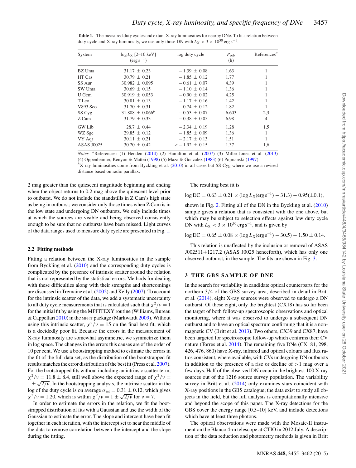<span id="page-4-0"></span>**Table 1.** The measured duty cycles and extant X-ray luminosities for nearby DNe. To fit a relation between duty cycle and X-ray luminosity, we use only those DN with  $L_X > 3 \times 10^{30}$  erg s<sup>-1</sup>.

| System            | $\log L_X$ [2–10 keV]<br>$(\text{erg}\,\text{s}^{-1})$ | log duty cycle    | $P_{\rm orb}$<br>(h) | References <sup>a</sup> |
|-------------------|--------------------------------------------------------|-------------------|----------------------|-------------------------|
| BZ Uma            | $31.17 \pm 0.23$                                       | $-1.39 \pm 0.08$  | 1.63                 |                         |
| HT Cas            | $30.79 \pm 0.21$                                       | $-1.85 \pm 0.12$  | 1.77                 |                         |
| SS Aur            | $30.982 \pm 0.095$                                     | $-0.61 \pm 0.07$  | 4.39                 |                         |
| SW Uma            | $30.69 \pm 0.15$                                       | $-1.10 \pm 0.14$  | 1.36                 |                         |
| U Gem             | $30.919 \pm 0.053$                                     | $-0.90 \pm 0.02$  | 4.25                 |                         |
| T Leo             | $30.81 \pm 0.13$                                       | $-1.17 + 0.16$    | 1.42                 |                         |
| V893 Sco          | $31.70 \pm 0.31$                                       | $-0.74 \pm 0.12$  | 1.82                 |                         |
| SS Cyg            | $31.888 \pm 0.066^b$                                   | $-0.53 \pm 0.07$  | 6.603                | 2,3                     |
| Z Cam             | $31.79 \pm 0.33$                                       | $-0.38 \pm 0.05$  | 6.98                 | $\overline{4}$          |
| GW Lib            | $28.7 \pm 0.44$                                        | $-2.34 + 0.19$    | 1.28                 | 1,5                     |
| WZ Sge            | $29.85 \pm 0.12$                                       | $-1.85 \pm 0.09$  | 1.36                 | 1                       |
| VY Agr            | $30.11 \pm 0.21$                                       | $-2.17 \pm 0.13$  | 1.51                 |                         |
| <b>ASAS J0025</b> | $30.20 \pm 0.42$                                       | $<-1.92 \pm 0.15$ | 1.37                 | 1,6                     |

*Notes. <sup>a</sup>*References: (1) Henden [\(2014\)](#page-8-11) (2) Hamilton et al. [\(2007\)](#page-8-12) (3) Miller-Jones et al. [\(2013\)](#page-9-23)

(4) Oppenheimer, Kenyon & Mattei [\(1998\)](#page-9-24) (5) Maza & Gonzalez [\(1983\)](#page-9-25) (6) Pojmanski [\(1997\)](#page-9-26).

*<sup>b</sup>*X-ray luminosities come from Byckling et al. [\(2010\)](#page-8-9) in all cases but SS Cyg where we use a revised distance based on radio parallax.

2 mag greater than the quiescent magnitude beginning and ending when the object returns to 0.2 mag above the quiescent level prior to outburst. We do not include the standstills in Z Cam's high state as being in outburst; we consider only those times when Z Cam is in the low state and undergoing DN outbursts. We only include times at which the sources are visible and being observed consistently enough to be sure that no outbursts have been missed. Light curves of the data ranges used to measure duty cycle are presented in Fig. [1.](#page-5-0)

#### **2.2 Fitting methods**

Fitting a relation between the X-ray luminosities in the sample from Byckling et al. [\(2010\)](#page-8-9) and the corresponding duty cycles is complicated by the presence of intrinsic scatter around the relation that is not represented by the statistical errors. Methods for dealing with these difficulties along with their strengths and shortcomings are discussed in Tremaine et al. [\(2002\)](#page-9-27) and Kelly [\(2007\)](#page-9-28). To account for the intrinsic scatter of the data, we add a systematic uncertainty to all duty cycle measurements that is calculated such that  $\chi^2/\nu = 1$ for the initial fit by using the MPFITEXY routine (Williams, Bureau & Cappellari [2010\)](#page-9-29) in the MPFIT package (Markwardt [2009\)](#page-9-30). Without using this intrinsic scatter,  $\chi^2/\nu = 15$  on the final best fit, which is a decidedly poor fit. Because the errors in the measurement of X-ray luminosity are somewhat asymmetric, we symmetrize them in log space. The changes in the errors this causes are of the order of 10 per cent. We use a bootstrapping method to estimate the errors in the fit of the full data set, as the distribution of the bootstrapped fit results matches the error distribution of the best fit (Press et al. [2007\)](#page-9-31). For the bootstrapped fits without including an intrinsic scatter term,  $\chi^2/\nu = 11.8 \pm 8.4$ , still well above the expected range of  $\chi^2/\nu =$  $1 \pm \sqrt{2/\nu}$ . In the bootstrapping analysis, the intrinsic scatter in the log of the duty cycle is on average  $\sigma_{\text{int}} = 0.31 \pm 0.12$ , which gives  $\chi^2/\nu = 1.20$ , which is within  $\chi^2/\nu = 1 \pm \sqrt{2/\nu}$  for  $\nu = 7$ .

In order to estimate the errors in the relation, we fit the bootstrapped distribution of fits with a Gaussian and use the width of the Gaussian to estimate the error. The slope and intercept have been fit together in each iteration, with the intercept set to near the middle of the data to remove correlation between the intercept and the slope during the fitting.

The resulting best fit is

 $\log \text{DC} = 0.63 \pm 0.21 \times (\log L_X(\text{erg s}^{-1}) - 31.3) - 0.95(\pm 0.1),$ 

shown in Fig. [2.](#page-5-1) Fitting all of the DN in the Byckling et al. [\(2010\)](#page-8-9) sample gives a relation that is consistent with the one above, but which may be subject to selection effects against low duty cycle DN with  $L_X < 3 \times 10^{30}$  erg s<sup>-1</sup>, and is given by

 $\log \text{DC} = 0.65 \pm 0.08 \times (\log L_X (\text{erg s}^{-1}) - 30.5) - 1.50 \pm 0.14.$ 

This relation is unaffected by the inclusion or removal of ASAS J002511+1217.2 (ASAS J0025 henceforth), which has only one observed outburst, in the sample. The fits are shown in Fig. [3.](#page-5-2)

#### **3 THE GBS SAMPLE OF DNE**

In the search for variability in candidate optical counterparts for the northern 3/4 of the GBS survey area, described in detail in Britt et al. [\(2014\)](#page-8-6), eight X-ray sources were observed to undergo a DN outburst. Of these eight, only the brightest (CX18) has so far been the target of both follow-up spectroscopic observations and optical monitoring, where it was observed to undergo a subsequent DN outburst and to have an optical spectrum confirming that it is a nonmagnetic CV (Britt et al. [2013\)](#page-8-4). Two others, CX39 and CX87, have been targeted for spectroscopic follow-up which confirms their CV nature (Torres et al. [2014\)](#page-9-19). The remaining five DNe (CX: 81, 298, 426, 476, 860) have X-ray, infrared and optical colours and flux ratios consistent, where available, with CVs undergoing DN outbursts in addition to the presence of a rise or decline of >1 mag over a few days. Half of the observed DN occur in the brightest 100 X-ray sources out of the 1216 source survey population. The variability survey in Britt et al. [\(2014\)](#page-8-6) only examines stars coincident with X-ray positions in the GBS catalogue; the data exis[t](#page-5-0) to study all objects in the field, but the full analysis is computationally intensive and beyond the scope of this paper. The X-ray detections for the GBS cover the energy range [0.5–10] keV, and include detections which have at least three photons.

The optical observations were made with the Mosaic-II instrument on the Blanco 4-m telescope at CTIO in 2012 July. A description of the data reduction and photometry methods is given in Britt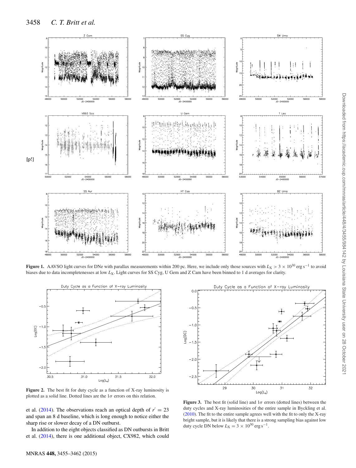<span id="page-5-0"></span>

**Figure 1.** AAVSO light curves for DNe with parallax measurements within 200 pc. Here, we include only those sources with  $L_X > 3 \times 10^{30}$  erg s<sup>-1</sup> to avoid biases due to data incompletenesses at low *L*<sub>X</sub>. Light curves for SS Cyg, U Gem and Z Cam have been binned to 1 d averages for clarity.

<span id="page-5-1"></span>

**Figure 2.** The best fit for duty cycle as a function of X-ray luminosity is plotted as a solid line. Dotted lines are the  $1\sigma$  errors on this relation.

et al.  $(2014)$ . The observations reach an optical depth of  $r' = 23$ and span an 8 d baseline, which is long enough to notice either the sharp rise or slower decay of a DN outburst.

In addition to the eight objects classified as DN outbursts in Britt et al. [\(2014\)](#page-8-6), there is one additional object, CX982, which could

<span id="page-5-2"></span>

**Figure 3.** The best fit (solid line) and  $1\sigma$  errors (dotted lines) between the duty cycles and X-ray luminosities of the entire sample in Byckling et al. [\(2010\)](#page-8-9). The fit to the entire sample agrees well with the fit to only the X-ray bright sample, but it is likely that there is a strong sampling bias against low duty cycle DN below  $L_X = 3 \times 10^{30}$  erg s<sup>-1</sup>.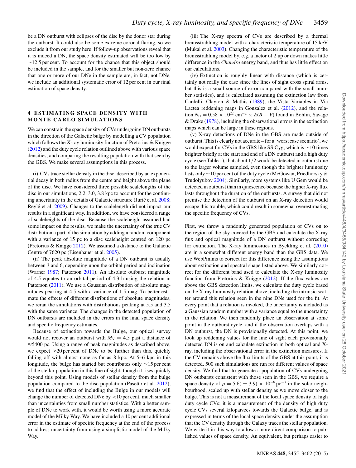be a DN outburst with eclipses of the disc by the donor star during the outburst. It could also be some extreme coronal flaring, so we exclude it from our study here. If follow-up observations reveal that it is indeed a DN, the space density estimated will be too low by ∼12.5 per cent. To account for the chance that this object should be included in the sample, and for the smaller but non-zero chance that one or more of our DNe in the sample are, in fact, not DNe, we include an additional systematic error of 12 per cent in our final estimation of space density.

#### **4 ESTIMATING SPACE DENSITY WITH MONTE CARLO SIMULATIONS**

We can constrain the space density of CVs undergoing DN outbursts in the direction of the Galactic bulge by modelling a CV population which follows the X-ray luminosity function of Pretorius & Knigge [\(2012\)](#page-9-13) and the duty cycle relation outlined above with various space densities, and comparing the resulting population with that seen by the GBS. We make several assumptions in this process.

(i) CVs trace stellar density in the disc, described by an exponential decay in both radius from the centre and height above the plane of the disc. We have considered three possible scalelengths of the disc in our simulations, 2.2, 3.0, 3.8 kpc to account for the continu-ing uncertainty in the details of Galactic structure (Jurić et al. [2008;](#page-9-32) Reylé et al.  $2009$ ). Changes to the scalelength did not impact our results in a significant way. In addition, we have considered a range of scaleheights of the disc. Because the scaleheight assumed had some impact on the results, we make the uncertainty of the true CV distribution a part of the simulation by adding a random component with a variance of 15 pc to a disc scaleheight centred on 120 pc (Pretorius & Knigge [2012\)](#page-9-13). We assumed a distance to the Galactic Centre of 7620 pc (Eisenhauer et al. [2005\)](#page-8-13).

(ii) The peak absolute magnitude of a DN outburst is usually between 3 and 6, depending upon the orbital period and inclination (Warner [1987;](#page-9-34) Patterson [2011\)](#page-9-35). An absolute outburst magnitude of 4.5 equates to an orbital period of 4.3 h using the relation in Patterson [\(2011\)](#page-9-35). We use a Gaussian distribution of absolute magnitudes peaking at 4.5 with a variance of 1.5 mag. To better estimate the effects of different distributions of absolute magnitudes, we reran the simulations with distributions peaking at 5.5 and 3.5 with the same variance. The changes in the detected population of DN outbursts are included in the errors in the final space density and specific frequency estimates.

Because of extinction towards the Bulge, our optical survey would not recover an outburst with  $M_V = 4.5$  past a distance of ≈5400 pc. Using a range of peak magnitudes as described above, we expect  $\approx$ 20 per cent of DNe to be further than this, quickly falling off with almost none as far as 8 kpc. At 5–6 kpc in this longitude, the bulge has started but contributes only ∼15 per cent of the stellar population in this line of sight, though it rises quickly beyond this point. Using models of stellar density from the bulge population compared to the disc population (Pasetto et al. [2012\)](#page-9-36), we find that the effect of including the Bulge in our models will change the number of detected DNe by <10 per cent, much smaller than uncertainties from small number statistics. With a better sample of DNe to work with, it would be worth using a more accurate model of the Milky Way. We have included a 10 per cent additional error in the estimate of specific frequency at the end of the process to address uncertainty from using a simplistic model of the Milky Way.

(iii) The X-ray spectra of CVs are described by a thermal bremsstrahlung model with a characteristic temperature of 15 keV (Mukai et al. [2003\)](#page-9-37). Changing the characteristic temperature of the bremsstrahlung model by, e.g. a factor of 2 up or down makes little difference in the *Chandra* energy band, and thus has little effect on our calculations.

(iv) Extinction is roughly linear with distance (which is certainly not really the case since the lines of sight cross spiral arms, but this is a small source of error compared with the small number statistics), and is calculated assuming the extinction law from Cardelli, Clayton & Mathis [\(1989\)](#page-8-14), the Vista Variables in Via Lactea reddening maps in Gonzalez et al. [\(2012\)](#page-8-15), and the relation  $N_{\text{H}} = 0.58 \times 10^{22} \text{ cm}^{-2} \times E(B-V)$  found in Bohlin, Savage & Drake [\(1978\)](#page-8-16), including the observational errors in the extinction maps which can be large in these regions.

(v) X-ray detections of DNe in the GBS are made outside of outburst. This is clearly not accurate – for a 'worst case scenario', we would expect for CVs in the GBS like SS Cyg, which is ∼10 times brighter briefly at the start and end of a DN outburst and a high duty cycle (see Table [1\)](#page-4-0), that about 1/2 would be detected in outburst due to the larger volume sampled, even though the brighter luminosity lasts only ∼10 per cent of the duty cycle (McGowan, Priedhorsky & Trudolyubov [2004\)](#page-9-38). Similarly, more systems like U Gem would be detected in outburst than in quiescence because the higher X-ray flux lasts throughout the duration of the outbursts. A survey that did not premise the detection of the outburst on an X-ray detection would escape this trouble, which could result in somewhat overestimating the specific frequency of CVs.

First, we throw a randomly generated population of CVs on to the region of the sky covered by the GBS and calculate the X-ray flux and optical magnitude of a DN outburst without correcting for extinction. The X-ray luminosities in Byckling et al. [\(2010\)](#page-8-9) are in a somewhat different energy band than the GBS data. We use WebPimms to correct for this difference using the assumptions about extinction and spectral shape listed above. We similarly correct for the different band used to calculate the X-ray luminosity function from Pretorius & Knigge [\(2012\)](#page-9-13). If the flux values are above the GBS detection limits, we calculate the duty cycle based on the X-ray luminosity relation above, including the intrinsic scatter around this relation seen in the nine DNe used for the fit. At ever[y](#page-7-0) point that a relation is invoked, the uncertainty is included as a Gaussian random number with a variance equal to the uncertainty in the relation. We then randomly place an observation at some point in the outburst cycle, and if the observation overlaps with a DN outburst, the DN is provisionally detected. At this point, we look up reddening values for the line of sight each provisionally detected DN is on and calculate extinction in both optical and Xray, including the observational error in the extinction measures. If the CV remains above the flux limits of the GBS at this point, it is detected. 500 such simulations are run for different values of space density. We find that to generate a population of CVs undergoing DN outbursts consistent with those seen in the GBS, we require a space density of  $\rho = 5.6(\pm 3.9) \times 10^{-6} \text{ pc}^{-3}$  in the solar neighbourhood, scaled up with stellar density as we move closer to the bulge. This is not a measurement of the local space density of high duty cycle CVs; it is a measurement of the density of high duty cycle CVs several kiloparsecs towards the Galactic bulge, and is expressed in terms of the local space density under the assumption that the CV density through the Galaxy traces the stellar population. We write it in this way to allow a more direct comparison to published values of space density. An equivalent, but perhaps easier to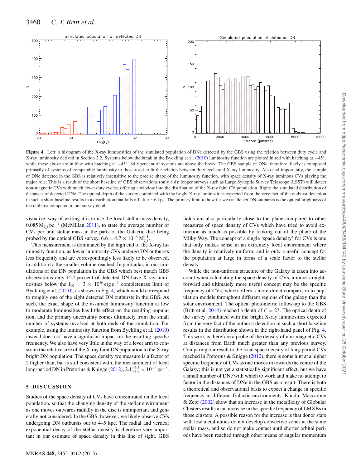<span id="page-7-0"></span>

**Figure 4.** Left: a histogram of the X-ray luminosities of the simulated population of DNe detected by the GBS using the relation between duty cycle and X-ray luminosity derived in Section 2.2. Systems below the break in the Byckling et al. [\(2010\)](#page-8-9) luminosity function are plotted in red with hatching at −45◦, while those above are in blue with hatching at  $+45°$ . 84.8 per cent of systems are above the break. The GBS sample of DNe, therefore, likely is composed primarily of systems of comparable luminosity to those used to fit the relation between duty cycle and X-ray luminosity. Also and importantly, the sample of DNe detected in the GBS is relatively insensitive to the precise shape of the luminosity function, with space density of X-ray luminous CVs playing the major role. This is a result of the short baseline of GBS observations (only 8 d); longer surveys such as Large Synoptic Survey Telescope (LSST) will detect non-magnetic CVs with much lower duty cycles, offering a window into the distribution of the X-ray faint CV population. Right: the simulated distribution of distances of detected DNe. The optical depth of the survey combined with the bright X-ray luminosities expected from the very fact of the outburst detection in such a short baseline results in a distribution that falls off after ∼6 kpc. The primary limit to how far we can detect DN outbursts is the optical brightness of the outburst compared to our survey depth.

visualize, way of writing it is to use the local stellar mass density, 0.085 M<sub> $\odot$ </sub> pc<sup>−3</sup> (McMillan [2011\)](#page-9-39), to state the average number of CVs per unit stellar mass in the parts of the Galactic disc being probed by the optical GBS survey,  $6.6 \pm 4.7 \times 10^{-5}$  M<sup>-1</sup><sub>O</sub>.

This measurement is dominated by the high end of the X-ray luminosity function, as lower luminosity CVs undergo DN outbursts less frequently and are correspondingly less likely to be observed, in addition to the smaller volume reached. In particular, in our simulations of the DN population in the GBS which best match GBS observations only 15.2 per cent of detected DN have X-ray luminosities below the  $L_X = 3 \times 10^{30} \text{ erg s}^{-1}$  completeness limit of Byckling et al. [\(2010\)](#page-8-9), as shown in Fig. [4,](#page-7-0) which would correspond to roughly one of the eight detected DN outbursts in the GBS. As such, the exact shape of the assumed luminosity function at low to moderate luminosities has little effect on the resulting population, and the primary uncertainty comes ultimately from the small number of systems involved at both ends of the simulation. For example, using the luminosity function from Byckling et al. [\(2010\)](#page-8-9) instead does not have a significant impact on the resulting specific frequency. We also have very little in the way of a lever arm to constrain the relative size of the X-ray faint DN population to the X-ray bright DN population. The space density we measure is a factor of 2 higher than, but is still consistent with, the measurement of local long-period DN in Pretorius & Knigge [\(2012\)](#page-9-13),  $2.1^{+3.5}_{-1.3} \times 10^{-6}$  pc<sup>-3</sup>.

#### **5 DISCUSSION**

Studies of the space density of CVs have concentrated on the local population, so that the changing density of the stellar environment as one moves outwards radially in the disc is unimportant and generally not considered. In the GBS, however, we likely observe CVs undergoing DN outbursts out to 4–5 kpc. The radial and vertical exponential decay of the stellar density is therefore very important in our estimate of space density in this line of sight. GBS

fields are also particularly close to the plane compared to other measures of space density of CVs which have tried to avoid extinction as much as possible by looking out of the plane of the Milky Way. The concept of a single 'space density' for CVs is one that only makes sense in an extremely local environment where the density is relatively uniform, and is only a useful concept for the population at large in terms of a scale factor to the stellar density.

While the non-uniform structure of the Galaxy is taken into account when calculating the space density of CVs, a more straightforward and ultimately more useful concept may be the specific frequency of CVs, which offers a more direct comparison to population models throughout different regions of the galaxy than the solar environment. The optical photometric follow-up to the GBS (Britt et al. [2014\)](#page-8-6) reached a depth of  $r' = 23$ . The optical depth of the survey combined with the bright X-ray luminosities expected from the very fact of the outburst detection in such a short baseline results in the distribution shown in the right-hand panel of Fig. [4.](#page-7-0) This work is therefore a probe of the density of non-magnetic CVs at distances from Earth much greater than any previous survey. Comparing our result to the local space density of long-period CVs reached in Pretorius & Knigge [\(2012\)](#page-9-13), there is some hint at a higher specific frequency of CVs as one moves in towards the centre of the Galaxy; this is not yet a statistically significant effect, but we have a small number of DNe with which to work and make no attempt to factor in the distances of DNe in the GBS as a result. There is both a theoretical and observational basis to expect a change in specific frequency in different Galactic environments. Kundu, Maccarone & Zepf [\(2002\)](#page-9-40) show that an increase in the metallicity of Globular Clusters results in an increase in the specific frequency of LMXBs in those clusters. A possible reason for the increase is that donor stars with low metallicities do not develop convective zones at the same stellar mass, and so do not make contact until shorter orbital periods have been reached through other means of angular momentum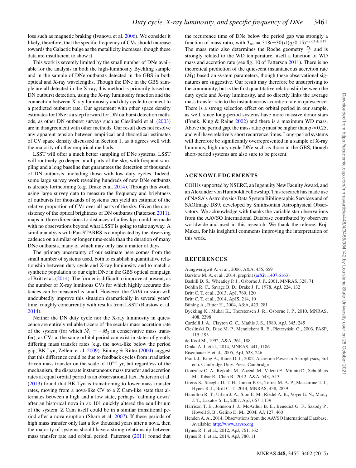loss such as magnetic braking (Ivanova et al. [2006\)](#page-9-41). We consider it likely, therefore, that the specific frequency of CVs should increase towards the Galactic bulge as the metallicity increases, though these data are insufficient to show it.

This work is severely limited by the small number of DNe available for the analysis in both the high-luminosity Byckling sample and in the sample of DNe outbursts detected in the GBS in both optical and X-ray wavelengths. Though the DNe in the GBS sample are all detected in the X-ray, this method is primarily based on DN outburst detection, using the X-ray luminosity function and the connection between X-ray luminosity and duty cycle to connect to a predicted outburst rate. Our agreement with other space density estimates for DNe is a step forward for DN outburst detection methods, as other DN outburst surveys such as Cieslinski et al. [\(2003\)](#page-8-3) are in disagreement with other methods. Our result does not resolve any apparent tension between empirical and theoretical estimates of CV space density discussed in Section 1, as it agrees well with the majority of other empirical methods.

LSST will offer a much better sampling of DNe systems. LSST will routinely go deeper in all parts of the sky, with frequent sampling and a long baseline that guarantees the detection of thousands of DN outbursts, including those with low duty cycles. Indeed, some large survey work revealing hundreds of new DNe outbursts is already forthcoming (e.g. Drake et al. [2014\)](#page-8-17). Through this work, using large survey data to measure the frequency and brightness of outbursts for thousands of systems can yield an estimate of the relative proportion of CVs over all parts of the sky. Given the consistency of the optical brightness of DN outbursts (Patterson [2011\)](#page-9-35), maps in three dimensions to distances of a few kpc could be made with no observations beyond what LSST is going to take anyway. A similar analysis with Pan-STARRS is complicated by the observing cadence on a similar or longer time-scale than the duration of many DNe outbursts, many of which may only last a matter of days.

The primary uncertainty of our estimate here comes from the small number of systems used, both to establish a quantitative relationship between duty cycle and X-ray luminosity and to match a synthetic population to our eight DNe in the GBS optical campaign of Britt et al. [\(2014\)](#page-8-6). The former is difficult to improve at present, as the number of X-ray luminous CVs for which highly accurate distances can be measured is small. However, the *GAIA* mission will undoubtedly improve this situation dramatically in several years' time, roughly concurrently with results from LSST (Barstow et al. [2014\)](#page-8-18).

Neither the DN duty cycle nor the X-ray luminosity in quiescence are entirely reliable tracers of the secular mass accretion rate of the system (for which  $\dot{M}_1 = -M_2$  in conservative mass transfer), as CVs at the same orbital period can exist in states of greatly differing mass transfer rates (e.g. the nova-like below the period gap, BK Lyn; Zellem et al. [2009\)](#page-9-42). Büning & Ritter ([2004\)](#page-8-19) suggest that this difference could be due to feedback cycles from irradiation driven mass transfer on the scale of  $10^{4-5}$  yr, but regardless of the mechanism, the disparate instantaneous mass transfer and accretion rates at equal orbital period is an observational fact. Patterson et al. [\(2013\)](#page-9-43) found that BK Lyn is transitioning to lower mass transfer rates, moving from a nova-like CV to a Z Cam-like state that alternates between a high and a low state, perhaps 'calming down' after an historical nova in AD 101 quickly altered the equilibrium of the system. Z Cam itself could be in a similar transitional period after a nova eruption (Shara et al. [2007\)](#page-9-44). If these periods of high mass transfer only last a few thousand years after a nova, then the majority of systems should have a strong relationship between mass transfer rate and orbital period. Patterson [\(2011\)](#page-9-35) found that

the recurrence time of DNe below the period gap was strongly a function of mass ratio, with  $T_{\text{rec}} = 318(\pm 30) d (q/0.15)^{-2.63 \pm 0.17}$ . The mass ratio also determines the Roche geometry  $\frac{R_L}{a}$  and is strongly related to the WD temperature, itself a function of WD mass and accretion rate (see fig. 10 of Patterson [2011\)](#page-9-35). There is no theoretical prediction of the quiescent instantaneous accretion rate  $(M<sub>1</sub>)$  based on system parameters, though these observational signatures are suggestive. Our result may therefore be unsurprising to the community, but is the first quantitative relationship between the duty cycle and X-ray luminosity, and so directly links the average mass transfer rate to the instantaneous accretion rate in quiescence. There is a strong selection effect on orbital period in our sample, as well, since long-period systems have more massive donor stars (Frank, King & Raine [2002\)](#page-8-20) and there is a maximum WD mass. Above the period gap, the mass ratio *q* must be higher than  $q \approx 0.25$ , and will have relatively short recurrence times. Long-period systems will therefore be significantly overrepresented in a sample of X-ray luminous, high duty cycle DNe such as those in the GBS, though short-period systems are also sure to be present.

#### **ACKNOWLEDGEMENTS**

COH is supported by NSERC, an Ingenuity New Faculty Award, and an Alexander von Humboldt Fellowship. This research has made use of NASA's Astrophysics Data System Bibliographic Services and of SAOImage DS9, developed by Smithsonian Astrophysical Observatory. We acknowledge with thanks the variable star observations from the AAVSO International Database contributed by observers worldwide and used in this research. We thank the referee, Koji Mukai, for his insightful comments improving the interpretation of this work.

#### **REFERENCES**

- <span id="page-8-2"></span>Aungwerojwit A. et al., 2006, A&A, 455, 659
- <span id="page-8-18"></span>Barstow M. A. et al., 2014, preprint [\(arXiv:1407.6163\)](http://arxiv.org/abs/1407.6163)
- <span id="page-8-0"></span>Baskill D. S., Wheatley P. J., Osborne J. P., 2001, MNRAS, 328, 71
- <span id="page-8-16"></span>Bohlin R. C., Savage B. D., Drake J. F., 1978, ApJ, 224, 132
- <span id="page-8-4"></span>Britt C. T. et al., 2013, ApJ, 769, 120
- <span id="page-8-6"></span>Britt C. T. et al., 2014, ApJS, 214, 10
- <span id="page-8-19"></span>Buning A., Ritter H., 2004, A&A, 423, 281 ¨
- <span id="page-8-9"></span>Byckling K., Mukai K., Thorstensen J. R., Osborne J. P., 2010, MNRAS, 408, 2298
- <span id="page-8-14"></span>Cardelli J. A., Clayton G. C., Mathis J. S., 1989, ApJ, 345, 245
- <span id="page-8-3"></span>Cieslinski D., Diaz M. P., Mennickent R. E., Pietrzyński G., 2003, PASP, 115, 193
- <span id="page-8-1"></span>de Kool M., 1992, A&A, 261, 188
- <span id="page-8-17"></span>Drake A. J. et al., 2014, MNRAS, 441, 1186
- <span id="page-8-13"></span>Eisenhauer F. et al., 2005, ApJ, 628, 246
- <span id="page-8-20"></span>Frank J., King A., Raine D. J., 2002, Accretion Power in Astrophysics, 3rd edn. Cambridge Univ. Press, Cambridge
- <span id="page-8-15"></span>Gonzalez O. A., Rejkuba M., Zoccali M., Valenti E., Minniti D., Schultheis M., Tobar R., Chen B., 2012, A&A, 543, A13
- <span id="page-8-7"></span>Greiss S., Steeghs D. T. H., Jonker P. G., Torres M. A. P., Maccarone T. J., Hynes R. I., Britt C. T., 2014, MNRAS, 438, 2839
- <span id="page-8-12"></span>Hamilton R. T., Urban J. A., Sion E. M., Riedel A. R., Voyer E. N., Marcy J. T., Lakatos S. L., 2007, ApJ, 667, 1139
- <span id="page-8-10"></span>Harrison T. E., Johnson J. J., McArthur B. E., Benedict G. F., Szkody P., Howell S. B., Gelino D. M., 2004, AJ, 127, 460
- <span id="page-8-11"></span>Henden A. A., 2014, Observations from the AAVSO International Database. Available: <http://www.aavso.org>
- <span id="page-8-8"></span>Hynes R. I. et al., 2012, ApJ, 761, 162
- <span id="page-8-5"></span>Hynes R. I. et al., 2014, ApJ, 780, 11